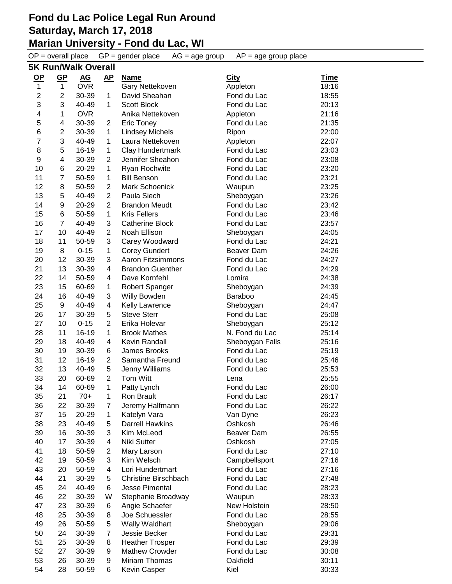# **Fond du Lac Police Legal Run Around Saturday, March 17, 2018**

## **Marian University - Fond du Lac, WI**

 $OP =$  overall place  $GP =$  gender place  $AG =$  age group  $AP =$  age group place

| 5K Run/Walk Overall |                |                  |                         |                             |                 |             |  |
|---------------------|----------------|------------------|-------------------------|-----------------------------|-----------------|-------------|--|
| <u>OP</u>           | <u>GP</u>      | $\underline{AG}$ | АP                      | <b>Name</b>                 | <b>City</b>     | <u>Time</u> |  |
| 1                   | 1              | <b>OVR</b>       |                         | Gary Nettekoven             | Appleton        | 18:16       |  |
| $\overline{c}$      | $\overline{2}$ | 30-39            | 1                       | David Sheahan               | Fond du Lac     | 18:55       |  |
| 3                   | 3              | 40-49            | 1                       | <b>Scott Block</b>          | Fond du Lac     | 20:13       |  |
| 4                   | 1              | <b>OVR</b>       |                         | Anika Nettekoven            | Appleton        | 21:16       |  |
| 5                   | 4              | 30-39            | $\overline{2}$          | Eric Toney                  | Fond du Lac     | 21:35       |  |
| 6                   | $\overline{2}$ | 30-39            | 1                       | <b>Lindsey Michels</b>      | Ripon           | 22:00       |  |
| $\overline{7}$      | 3              | 40-49            | 1                       | Laura Nettekoven            | Appleton        | 22:07       |  |
| 8                   | 5              | 16-19            | 1                       | Clay Hundertmark            | Fond du Lac     | 23:03       |  |
| 9                   | 4              | 30-39            | $\overline{2}$          | Jennifer Sheahon            | Fond du Lac     | 23:08       |  |
| 10                  | 6              | 20-29            | $\mathbf{1}$            | Ryan Rochwite               | Fond du Lac     | 23:20       |  |
| 11                  | $\overline{7}$ | 50-59            | 1                       | <b>Bill Benson</b>          | Fond du Lac     | 23:21       |  |
| 12                  | 8              | 50-59            | 2                       | Mark Schoenick              | Waupun          | 23:25       |  |
| 13                  | 5              | 40-49            | $\overline{2}$          | Paula Siech                 | Sheboygan       | 23:26       |  |
| 14                  | 9              | 20-29            | $\overline{2}$          | <b>Brandon Meudt</b>        | Fond du Lac     | 23:42       |  |
| 15                  | 6              | 50-59            | $\mathbf{1}$            | <b>Kris Fellers</b>         | Fond du Lac     | 23:46       |  |
| 16                  | $\overline{7}$ | 40-49            | 3                       | <b>Catherine Block</b>      | Fond du Lac     | 23:57       |  |
| 17                  | 10             | 40-49            | $\overline{\mathbf{c}}$ | Noah Ellison                | Sheboygan       | 24:05       |  |
| 18                  | 11             | 50-59            | 3                       | Carey Woodward              | Fond du Lac     | 24:21       |  |
| 19                  | 8              | $0 - 15$         | 1                       | <b>Corey Gundert</b>        | Beaver Dam      | 24:26       |  |
| 20                  | 12             | 30-39            | 3                       | <b>Aaron Fitzsimmons</b>    | Fond du Lac     | 24:27       |  |
| 21                  | 13             | 30-39            | 4                       | <b>Brandon Guenther</b>     | Fond du Lac     | 24:29       |  |
| 22                  | 14             | 50-59            | 4                       | Dave Kornfehl               | Lomira          | 24:38       |  |
| 23                  | 15             | 60-69            | 1                       | Robert Spanger              | Sheboygan       | 24:39       |  |
| 24                  | 16             | 40-49            | 3                       | Willy Bowden                | Baraboo         | 24:45       |  |
| 25                  | 9              | 40-49            | 4                       | Kelly Lawrence              | Sheboygan       | 24:47       |  |
| 26                  | 17             | 30-39            | 5                       | <b>Steve Sterr</b>          | Fond du Lac     | 25:08       |  |
| 27                  | 10             | $0 - 15$         | $\overline{2}$          | Erika Holevar               | Sheboygan       | 25:12       |  |
| 28                  | 11             | 16-19            | $\mathbf{1}$            | <b>Brook Mathes</b>         | N. Fond du Lac  | 25:14       |  |
| 29                  | 18             | 40-49            | 4                       | Kevin Randall               | Sheboygan Falls | 25:16       |  |
| 30                  | 19             | 30-39            | 6                       | James Brooks                | Fond du Lac     | 25:19       |  |
| 31                  | 12             | 16-19            | $\overline{2}$          | Samantha Freund             | Fond du Lac     | 25:46       |  |
| 32                  | 13             | 40-49            | 5                       | Jenny Williams              | Fond du Lac     | 25:53       |  |
| 33                  | 20             | 60-69            | $\overline{2}$          | Tom Witt                    | Lena            | 25:55       |  |
| 34                  | 14             | 60-69            | 1                       | Patty Lynch                 | Fond du Lac     | 26:00       |  |
| 35                  | 21             | 70+              | 1                       | Ron Brault                  | Fond du Lac     | 26:17       |  |
| 36                  | 22             | 30-39            | 7                       | Jeremy Halfmann             | Fond du Lac     | 26:22       |  |
| 37                  | 15             | 20-29            | 1                       | Katelyn Vara                | Van Dyne        | 26:23       |  |
| 38                  | 23             | 40-49            | 5                       | <b>Darrell Hawkins</b>      | Oshkosh         | 26:46       |  |
| 39                  | 16             | 30-39            | 3                       | Kim McLeod                  | Beaver Dam      | 26:55       |  |
| 40                  | 17             | 30-39            | 4                       | Niki Sutter                 | Oshkosh         | 27:05       |  |
| 41                  | 18             | 50-59            | 2                       | Mary Larson                 | Fond du Lac     | 27:10       |  |
| 42                  | 19             | 50-59            | 3                       | Kim Welsch                  | Campbellsport   | 27:16       |  |
| 43                  | 20             | 50-59            | 4                       | Lori Hundertmart            | Fond du Lac     | 27:16       |  |
| 44                  | 21             | 30-39            | 5                       | <b>Christine Birschbach</b> | Fond du Lac     | 27:48       |  |
| 45                  | 24             | 40-49            | 6                       | Jesse Pimental              | Fond du Lac     | 28:23       |  |
| 46                  | 22             | 30-39            | W                       | Stephanie Broadway          | Waupun          | 28:33       |  |
| 47                  | 23             | 30-39            | 6                       | Angie Schaefer              | New Holstein    | 28:50       |  |
| 48                  | 25             | 30-39            | 8                       | Joe Schuessler              | Fond du Lac     | 28:55       |  |
| 49                  | 26             | 50-59            | 5                       | Wally Waldhart              | Sheboygan       | 29:06       |  |
| 50                  | 24             | 30-39            | 7                       | Jessie Becker               | Fond du Lac     | 29:31       |  |
| 51                  | 25             | 30-39            | 8                       | <b>Heather Trosper</b>      | Fond du Lac     | 29:39       |  |
| 52                  | 27             | 30-39            | 9                       | <b>Mathew Crowder</b>       | Fond du Lac     | 30:08       |  |
| 53                  | 26             | 30-39            | 9                       | Miriam Thomas               | Oakfield        | 30:11       |  |
| 54                  | 28             | 50-59            | 6                       | Kevin Casper                | Kiel            | 30:33       |  |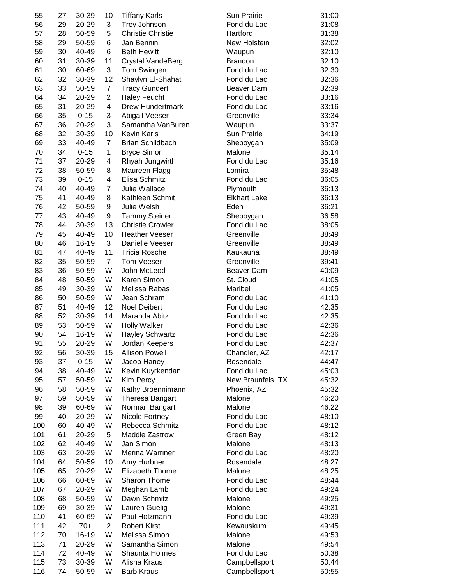| 55  | 27 | 30-39    | 10                      | <b>Tiffany Karls</b>     | <b>Sun Prairie</b>  | 31:00 |
|-----|----|----------|-------------------------|--------------------------|---------------------|-------|
| 56  | 29 | 20-29    | 3                       | Trey Johnson             | Fond du Lac         | 31:08 |
| 57  | 28 | 50-59    | 5                       | <b>Christie Christie</b> | Hartford            | 31:38 |
| 58  | 29 | 50-59    | 6                       | Jan Bennin               | New Holstein        | 32:02 |
| 59  | 30 | 40-49    | 6                       | <b>Beth Hewitt</b>       | Waupun              | 32:10 |
| 60  | 31 | 30-39    | 11                      | <b>Crystal VandeBerg</b> | <b>Brandon</b>      | 32:10 |
| 61  | 30 | 60-69    | 3                       | Tom Swingen              | Fond du Lac         | 32:30 |
| 62  | 32 | 30-39    | 12                      | Shaylyn El-Shahat        | Fond du Lac         | 32:36 |
| 63  | 33 | 50-59    | $\overline{7}$          | <b>Tracy Gundert</b>     | Beaver Dam          | 32:39 |
| 64  | 34 | 20-29    | $\overline{\mathbf{c}}$ | <b>Haley Feucht</b>      | Fond du Lac         | 33:16 |
| 65  | 31 | 20-29    | $\overline{\mathbf{4}}$ | <b>Drew Hundertmark</b>  | Fond du Lac         | 33:16 |
| 66  | 35 | $0 - 15$ | 3                       | Abigail Veeser           | Greenville          | 33:34 |
| 67  | 36 | 20-29    | 3                       | Samantha VanBuren        | Waupun              | 33:37 |
| 68  | 32 | 30-39    | 10                      | <b>Kevin Karls</b>       | <b>Sun Prairie</b>  | 34:19 |
| 69  | 33 | 40-49    | 7                       | <b>Brian Schildbach</b>  | Sheboygan           | 35:09 |
| 70  | 34 | $0 - 15$ | $\mathbf{1}$            | <b>Bryce Simon</b>       | Malone              | 35:14 |
| 71  | 37 | 20-29    | 4                       | Rhyah Jungwirth          | Fond du Lac         | 35:16 |
| 72  | 38 | 50-59    | 8                       | Maureen Flagg            | Lomira              | 35:48 |
| 73  | 39 | $0 - 15$ | 4                       | Elisa Schmitz            | Fond du Lac         | 36:05 |
| 74  | 40 | 40-49    | $\overline{7}$          | Julie Wallace            | Plymouth            | 36:13 |
| 75  | 41 | 40-49    | 8                       | Kathleen Schmit          | <b>Elkhart Lake</b> | 36:13 |
| 76  | 42 | 50-59    | 9                       | Julie Welsh              | Eden                | 36:21 |
| 77  | 43 | 40-49    | 9                       | <b>Tammy Steiner</b>     | Sheboygan           | 36:58 |
| 78  | 44 | 30-39    | 13                      | <b>Christie Crowler</b>  | Fond du Lac         | 38:05 |
| 79  | 45 | 40-49    | 10                      | <b>Heather Veeser</b>    | Greenville          | 38:49 |
| 80  | 46 | 16-19    | 3                       | Danielle Veeser          | Greenville          | 38:49 |
| 81  | 47 | 40-49    | 11                      | <b>Tricia Rosche</b>     | Kaukauna            | 38:49 |
| 82  | 35 | 50-59    | $\overline{7}$          | <b>Tom Veeser</b>        | Greenville          | 39:41 |
| 83  | 36 | 50-59    | W                       | John McLeod              | Beaver Dam          | 40:09 |
| 84  | 48 | 50-59    | W                       | Karen Simon              | St. Cloud           | 41:05 |
| 85  | 49 | 30-39    | W                       | Melissa Rabas            | Maribel             | 41:05 |
| 86  | 50 | 50-59    | W                       | Jean Schram              | Fond du Lac         | 41:10 |
| 87  | 51 | 40-49    | 12                      | <b>Noel Deibert</b>      | Fond du Lac         | 42:35 |
| 88  | 52 | 30-39    | 14                      | Maranda Abitz            | Fond du Lac         | 42:35 |
| 89  | 53 | 50-59    | W                       | <b>Holly Walker</b>      | Fond du Lac         | 42:36 |
| 90  | 54 | 16-19    | W                       | <b>Hayley Schwartz</b>   | Fond du Lac         | 42:36 |
| 91  | 55 | 20-29    | W                       | Jordan Keepers           | Fond du Lac         | 42:37 |
| 92  | 56 | 30-39    | 15                      | <b>Allison Powell</b>    | Chandler, AZ        | 42:17 |
| 93  | 37 | $0 - 15$ | W                       | Jacob Haney              | Rosendale           | 44:47 |
| 94  | 38 | 40-49    | W                       | Kevin Kuyrkendan         | Fond du Lac         | 45:03 |
| 95  | 57 | 50-59    | W                       | Kim Percy                | New Braunfels, TX   | 45:32 |
| 96  | 58 | 50-59    | W                       | Kathy Broennimann        | Phoenix, AZ         | 45:32 |
| 97  | 59 | 50-59    | W                       | <b>Theresa Bangart</b>   | Malone              | 46:20 |
| 98  | 39 | 60-69    | W                       | Norman Bangart           | Malone              | 46:22 |
| 99  | 40 | 20-29    | W                       | Nicole Fortney           | Fond du Lac         | 48:10 |
| 100 | 60 | 40-49    | W                       | Rebecca Schmitz          | Fond du Lac         | 48:12 |
| 101 | 61 | 20-29    | 5                       | Maddie Zastrow           | Green Bay           | 48:12 |
| 102 | 62 | 40-49    | W                       | Jan Simon                | Malone              | 48:13 |
| 103 | 63 | 20-29    | W                       | Merina Warriner          | Fond du Lac         | 48:20 |
| 104 | 64 | 50-59    | 10                      | Amy Hurbner              | Rosendale           | 48:27 |
| 105 | 65 | 20-29    | W                       | Elizabeth Thome          | Malone              | 48:25 |
| 106 | 66 | 60-69    | W                       | Sharon Thome             | Fond du Lac         | 48:44 |
| 107 | 67 | 20-29    | W                       | Meghan Lamb              | Fond du Lac         | 49:24 |
| 108 | 68 | 50-59    | W                       | Dawn Schmitz             | Malone              | 49:25 |
| 109 | 69 | 30-39    | W                       | Lauren Guelig            | Malone              | 49:31 |
| 110 | 41 | 60-69    | W                       | Paul Holzmann            | Fond du Lac         | 49:39 |
| 111 | 42 | $70+$    | $\overline{2}$          | <b>Robert Kirst</b>      | Kewauskum           | 49:45 |
| 112 | 70 | 16-19    | W                       | Melissa Simon            | Malone              | 49:53 |
| 113 | 71 | 20-29    | W                       | Samantha Simon           | Malone              | 49:54 |
| 114 | 72 | 40-49    | W                       | Shaunta Holmes           | Fond du Lac         | 50:38 |
| 115 | 73 | 30-39    | W                       | Alisha Kraus             | Campbellsport       | 50:44 |
| 116 | 74 | 50-59    | W                       | <b>Barb Kraus</b>        | Campbellsport       | 50:55 |
|     |    |          |                         |                          |                     |       |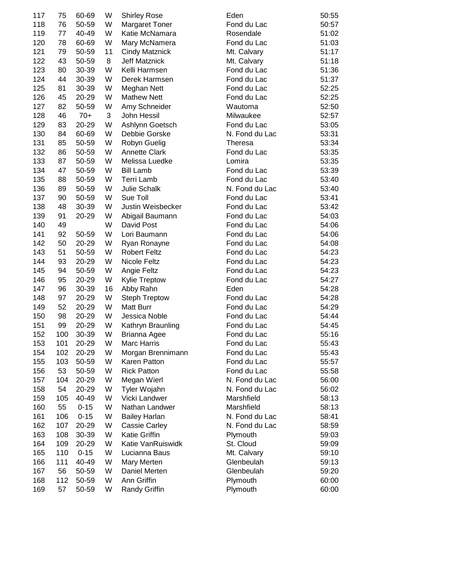| 117 | 75       | 60-69    | W  | <b>Shirley Rose</b>                 | Eden           | 50:55 |
|-----|----------|----------|----|-------------------------------------|----------------|-------|
| 118 | 76       | 50-59    | W  | Margaret Toner                      | Fond du Lac    | 50:57 |
| 119 | 77       | 40-49    | W  | Katie McNamara                      | Rosendale      | 51:02 |
| 120 | 78       | 60-69    | W  | Mary McNamera                       | Fond du Lac    | 51:03 |
| 121 | 79       | 50-59    | 11 | <b>Cindy Matznick</b>               | Mt. Calvary    | 51:17 |
| 122 | 43       | 50-59    | 8  | <b>Jeff Matznick</b>                | Mt. Calvary    | 51:18 |
| 123 | 80       | 30-39    | W  | Kelli Harmsen                       | Fond du Lac    | 51:36 |
| 124 | 44       | 30-39    | W  | Derek Harmsen                       | Fond du Lac    | 51:37 |
| 125 | 81       | 30-39    | W  | Meghan Nett                         | Fond du Lac    | 52:25 |
| 126 | 45       | 20-29    | W  | <b>Mathew Nett</b>                  | Fond du Lac    | 52:25 |
| 127 | 82       | 50-59    | W  | Amy Schneider                       | Wautoma        | 52:50 |
| 128 | 46       | $70+$    | 3  | John Hessil                         | Milwaukee      | 52:57 |
| 129 | 83       | 20-29    | W  | Ashlynn Goetsch                     | Fond du Lac    | 53:05 |
| 130 | 84       | 60-69    | W  | Debbie Gorske                       | N. Fond du Lac | 53:31 |
| 131 | 85       | 50-59    | W  | Robyn Guelig                        | Theresa        | 53:34 |
| 132 | 86       | 50-59    | W  | <b>Annette Clark</b>                | Fond du Lac    | 53:35 |
| 133 | 87       | 50-59    | W  | Melissa Luedke                      | Lomira         | 53:35 |
| 134 | 47       | 50-59    | W  | <b>Bill Lamb</b>                    | Fond du Lac    | 53:39 |
| 135 | 88       | 50-59    | W  | Terri Lamb                          | Fond du Lac    | 53:40 |
| 136 | 89       | 50-59    | W  | Julie Schalk                        | N. Fond du Lac | 53:40 |
| 137 | 90       | 50-59    | W  | Sue Toll                            | Fond du Lac    | 53:41 |
| 138 | 48       | 30-39    | W  | Justin Weisbecker                   | Fond du Lac    | 53:42 |
| 139 | 91       | 20-29    | W  | Abigail Baumann                     | Fond du Lac    | 54:03 |
| 140 | 49       |          | W  | David Post                          | Fond du Lac    | 54:06 |
| 141 | 92       | 50-59    | W  | Lori Baumann                        | Fond du Lac    | 54:06 |
| 142 | 50       | 20-29    | W  |                                     | Fond du Lac    | 54:08 |
| 143 | 51       | 50-59    | W  | Ryan Ronayne<br><b>Robert Feltz</b> | Fond du Lac    | 54:23 |
| 144 | 93       | 20-29    | W  | Nicole Feltz                        | Fond du Lac    | 54:23 |
| 145 |          | 50-59    | W  |                                     |                | 54:23 |
|     | 94<br>95 |          |    | Angie Feltz                         | Fond du Lac    |       |
| 146 |          | 20-29    | W  | Kylie Treptow                       | Fond du Lac    | 54:27 |
| 147 | 96       | 30-39    | 16 | Abby Rahn                           | Eden           | 54:28 |
| 148 | 97       | 20-29    | W  | Steph Treptow                       | Fond du Lac    | 54:28 |
| 149 | 52       | 20-29    | W  | Matt Burr                           | Fond du Lac    | 54:29 |
| 150 | 98       | 20-29    | W  | Jessica Noble                       | Fond du Lac    | 54:44 |
| 151 | 99       | 20-29    | W  | Kathryn Braunling                   | Fond du Lac    | 54:45 |
| 152 | 100      | 30-39    | W  | Brianna Agee                        | Fond du Lac    | 55:16 |
| 153 | 101      | 20-29    | W  | Marc Harris                         | Fond du Lac    | 55:43 |
| 154 | 102      | 20-29    | W  | Morgan Brennimann                   | Fond du Lac    | 55:43 |
| 155 | 103      | 50-59    | W  | Karen Patton                        | Fond du Lac    | 55:57 |
| 156 | 53       | 50-59    | W  | <b>Rick Patton</b>                  | Fond du Lac    | 55:58 |
| 157 | 104      | 20-29    | W  | Megan Wierl                         | N. Fond du Lac | 56:00 |
| 158 | 54       | 20-29    | W  | Tyler Wojahn                        | N. Fond du Lac | 56:02 |
| 159 | 105      | 40-49    | W  | Vicki Landwer                       | Marshfield     | 58:13 |
| 160 | 55       | $0 - 15$ | W  | Nathan Landwer                      | Marshfield     | 58:13 |
| 161 | 106      | $0 - 15$ | W  | <b>Bailey Harlan</b>                | N. Fond du Lac | 58:41 |
| 162 | 107      | 20-29    | W  | <b>Cassie Carley</b>                | N. Fond du Lac | 58:59 |
| 163 | 108      | 30-39    | W  | Katie Griffin                       | Plymouth       | 59:03 |
| 164 | 109      | 20-29    | W  | Katie VanRuiswidk                   | St. Cloud      | 59:09 |
| 165 | 110      | $0 - 15$ | W  | Lucianna Baus                       | Mt. Calvary    | 59:10 |
| 166 | 111      | 40-49    | W  | Mary Merten                         | Glenbeulah     | 59:13 |
| 167 | 56       | 50-59    | W  | Daniel Merten                       | Glenbeulah     | 59:20 |
| 168 | 112      | 50-59    | W  | Ann Griffin                         | Plymouth       | 60:00 |
| 169 | 57       | 50-59    | W  | <b>Randy Griffin</b>                | Plymouth       | 60:00 |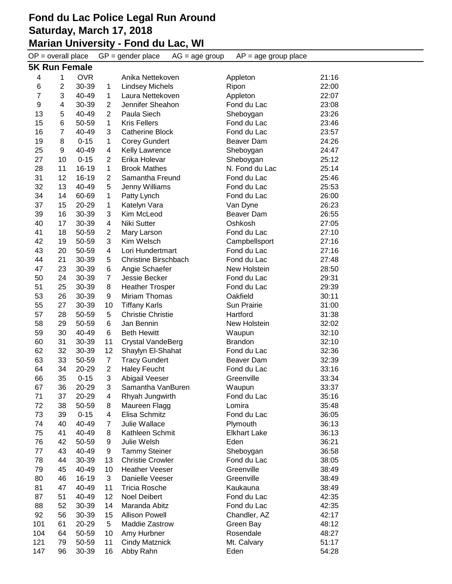## **Fond du Lac Police Legal Run Around Saturday, March 17, 2018**

## **Marian University - Fond du Lac, WI**

| $OP = overall place$ |                |            |                  | $GP = gender place$<br>$AG = age$ group | $AP = age$ group place |       |
|----------------------|----------------|------------|------------------|-----------------------------------------|------------------------|-------|
| <b>5K Run Female</b> |                |            |                  |                                         |                        |       |
| 4                    | 1              | <b>OVR</b> | Anika Nettekoven |                                         | Appleton               | 21:16 |
| 6                    | $\overline{c}$ | 30-39      | $\mathbf{1}$     | <b>Lindsey Michels</b>                  | Ripon                  | 22:00 |
| $\overline{7}$       | 3              | 40-49      | $\mathbf 1$      | Laura Nettekoven                        | Appleton               | 22:07 |
| 9                    | 4              | 30-39      | $\overline{2}$   | Jennifer Sheahon                        | Fond du Lac            | 23:08 |
| 13                   | 5              | 40-49      | $\overline{2}$   | Paula Siech                             | Sheboygan              | 23:26 |
| 15                   | $\,6$          | 50-59      | 1                | <b>Kris Fellers</b>                     | Fond du Lac            | 23:46 |
| 16                   | $\overline{7}$ | 40-49      | 3                | <b>Catherine Block</b>                  | Fond du Lac            | 23:57 |
| 19                   | 8              | $0 - 15$   | 1                | <b>Corey Gundert</b>                    | <b>Beaver Dam</b>      | 24:26 |
| 25                   | 9              | 40-49      | $\overline{4}$   | Kelly Lawrence                          | Sheboygan              | 24:47 |
| 27                   | 10             | $0 - 15$   | $\overline{2}$   | Erika Holevar                           | Sheboygan              | 25:12 |
| 28                   | 11             | 16-19      | 1                | <b>Brook Mathes</b>                     | N. Fond du Lac         | 25:14 |
| 31                   | 12             | 16-19      | $\overline{2}$   | Samantha Freund                         | Fond du Lac            | 25:46 |
| 32                   | 13             | 40-49      | 5                | Jenny Williams                          | Fond du Lac            | 25:53 |
| 34                   | 14             | 60-69      | 1                | Patty Lynch                             | Fond du Lac            | 26:00 |
| 37                   | 15             | 20-29      | 1                | Katelyn Vara                            | Van Dyne               | 26:23 |
| 39                   | 16             | 30-39      | 3                | Kim McLeod                              | <b>Beaver Dam</b>      | 26:55 |
| 40                   | 17             | 30-39      | $\overline{4}$   | <b>Niki Sutter</b>                      | Oshkosh                | 27:05 |
| 41                   | 18             | 50-59      | $\overline{c}$   | Mary Larson                             | Fond du Lac            | 27:10 |
| 42                   | 19             | 50-59      | 3                | Kim Welsch                              | Campbellsport          | 27:16 |
| 43                   | 20             | 50-59      | 4                | Lori Hundertmart                        | Fond du Lac            | 27:16 |
| 44                   | 21             | 30-39      | 5                | <b>Christine Birschbach</b>             | Fond du Lac            | 27:48 |
| 47                   | 23             | 30-39      | 6                | Angie Schaefer                          | New Holstein           | 28:50 |
| 50                   | 24             | 30-39      | $\overline{7}$   | Jessie Becker                           | Fond du Lac            | 29:31 |
| 51                   | 25             | 30-39      | 8                | <b>Heather Trosper</b>                  | Fond du Lac            | 29:39 |
| 53                   | 26             | 30-39      | 9                | Miriam Thomas                           | Oakfield               | 30:11 |
| 55                   | 27             | 30-39      | 10               | <b>Tiffany Karls</b>                    | <b>Sun Prairie</b>     | 31:00 |
| 57                   | 28             | 50-59      | 5                | <b>Christie Christie</b>                | Hartford               | 31:38 |
| 58                   | 29             | 50-59      | 6                | Jan Bennin                              | New Holstein           | 32:02 |
| 59                   | 30             | 40-49      | 6                | <b>Beth Hewitt</b>                      | Waupun                 | 32:10 |
| 60                   | 31             | 30-39      | 11               | <b>Crystal VandeBerg</b>                | <b>Brandon</b>         | 32:10 |
| 62                   | 32             | 30-39      | 12               | Shaylyn El-Shahat                       | Fond du Lac            | 32:36 |
| 63                   | 33             | 50-59      | $\overline{7}$   | <b>Tracy Gundert</b>                    | Beaver Dam             | 32:39 |
| 64                   | 34             | 20-29      | $\overline{2}$   | <b>Haley Feucht</b>                     | Fond du Lac            | 33:16 |
| 66                   | 35             | $0 - 15$   | 3                | Abigail Veeser                          | Greenville             | 33:34 |
| 67                   | 36             | 20-29      | 3                | Samantha VanBuren                       | Waupun                 | 33:37 |
| 71                   | 37             | 20-29      | 4                | Rhyah Jungwirth                         | Fond du Lac            | 35:16 |
| 72                   | 38             | 50-59      | 8                | Maureen Flagg                           | Lomira                 | 35:48 |
| 73                   | 39             | $0 - 15$   | $\overline{4}$   | Elisa Schmitz                           | Fond du Lac            | 36:05 |
| 74                   | 40             | 40-49      | $\overline{7}$   | Julie Wallace                           | Plymouth               | 36:13 |
| 75                   | 41             | 40-49      | 8                | Kathleen Schmit                         | <b>Elkhart Lake</b>    | 36:13 |
| 76                   | 42             | 50-59      | 9                | Julie Welsh                             | Eden                   | 36:21 |
| 77                   | 43             | 40-49      | 9                | <b>Tammy Steiner</b>                    | Sheboygan              | 36:58 |
| 78                   | 44             | 30-39      | 13               | <b>Christie Crowler</b>                 | Fond du Lac            | 38:05 |
| 79                   | 45             | 40-49      | 10               | <b>Heather Veeser</b>                   | Greenville             | 38:49 |
| 80                   | 46             | 16-19      | 3                | Danielle Veeser                         | Greenville             | 38:49 |
| 81                   | 47             | 40-49      | 11               | <b>Tricia Rosche</b>                    | Kaukauna               | 38:49 |
| 87                   | 51             | 40-49      | 12               | <b>Noel Deibert</b>                     | Fond du Lac            | 42:35 |
| 88                   | 52             | 30-39      | 14               | Maranda Abitz                           | Fond du Lac            | 42:35 |
| 92                   | 56             | 30-39      | 15               | <b>Allison Powell</b>                   | Chandler, AZ           | 42:17 |
| 101                  | 61             | 20-29      | 5                | Maddie Zastrow                          | Green Bay              | 48:12 |
| 104                  | 64             | 50-59      | 10               | Amy Hurbner                             | Rosendale              | 48:27 |
| 121                  | 79             | 50-59      | 11               | <b>Cindy Matznick</b>                   | Mt. Calvary            | 51:17 |
| 147                  | 96             | 30-39      | 16               | Abby Rahn                               | Eden                   | 54:28 |
|                      |                |            |                  |                                         |                        |       |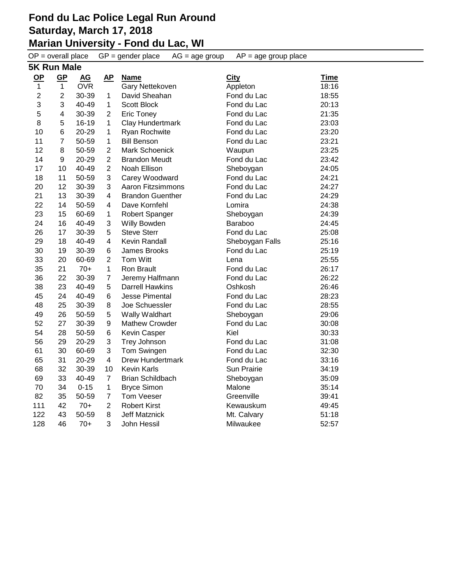$OP =$  overall place  $GP =$  gender place  $AG =$  age group  $AP =$  age group place

| 5K Run Male    |                |            |                |                         |                 |       |  |
|----------------|----------------|------------|----------------|-------------------------|-----------------|-------|--|
| <u>OP</u>      | GP             | <b>AG</b>  | <u>AP</u>      | <b>Name</b>             | <b>City</b>     | Time  |  |
| 1              | $\mathbf{1}$   | <b>OVR</b> |                | Gary Nettekoven         | Appleton        | 18:16 |  |
| $\overline{2}$ | $\overline{2}$ | 30-39      | 1              | David Sheahan           | Fond du Lac     | 18:55 |  |
| 3              | 3              | 40-49      | 1              | <b>Scott Block</b>      | Fond du Lac     | 20:13 |  |
| 5              | 4              | 30-39      | 2              | <b>Eric Toney</b>       | Fond du Lac     | 21:35 |  |
| 8              | 5              | 16-19      | 1              | Clay Hundertmark        | Fond du Lac     | 23:03 |  |
| 10             | 6              | 20-29      | 1              | Ryan Rochwite           | Fond du Lac     | 23:20 |  |
| 11             | $\overline{7}$ | 50-59      | $\mathbf{1}$   | <b>Bill Benson</b>      | Fond du Lac     | 23:21 |  |
| 12             | 8              | 50-59      | $\overline{2}$ | <b>Mark Schoenick</b>   | Waupun          | 23:25 |  |
| 14             | 9              | 20-29      | $\overline{2}$ | <b>Brandon Meudt</b>    | Fond du Lac     | 23:42 |  |
| 17             | 10             | 40-49      | $\overline{2}$ | Noah Ellison            | Sheboygan       | 24:05 |  |
| 18             | 11             | 50-59      | 3              | Carey Woodward          | Fond du Lac     | 24:21 |  |
| 20             | 12             | 30-39      | 3              | Aaron Fitzsimmons       | Fond du Lac     | 24:27 |  |
| 21             | 13             | 30-39      | 4              | <b>Brandon Guenther</b> | Fond du Lac     | 24:29 |  |
| 22             | 14             | 50-59      | 4              | Dave Kornfehl           | Lomira          | 24:38 |  |
| 23             | 15             | 60-69      | $\mathbf{1}$   | Robert Spanger          | Sheboygan       | 24:39 |  |
| 24             | 16             | 40-49      | 3              | Willy Bowden            | Baraboo         | 24:45 |  |
| 26             | 17             | 30-39      | 5              | <b>Steve Sterr</b>      | Fond du Lac     | 25:08 |  |
| 29             | 18             | 40-49      | 4              | Kevin Randall           | Sheboygan Falls | 25:16 |  |
| 30             | 19             | 30-39      | 6              | James Brooks            | Fond du Lac     | 25:19 |  |
| 33             | 20             | 60-69      | $\overline{2}$ | Tom Witt                | Lena            | 25:55 |  |
| 35             | 21             | $70+$      | $\mathbf{1}$   | Ron Brault              | Fond du Lac     | 26:17 |  |
| 36             | 22             | 30-39      | $\overline{7}$ | Jeremy Halfmann         | Fond du Lac     | 26:22 |  |
| 38             | 23             | 40-49      | 5              | <b>Darrell Hawkins</b>  | Oshkosh         | 26:46 |  |
| 45             | 24             | 40-49      | 6              | <b>Jesse Pimental</b>   | Fond du Lac     | 28:23 |  |
| 48             | 25             | 30-39      | 8              | Joe Schuessler          | Fond du Lac     | 28:55 |  |
| 49             | 26             | 50-59      | 5              | <b>Wally Waldhart</b>   | Sheboygan       | 29:06 |  |
| 52             | 27             | 30-39      | 9              | <b>Mathew Crowder</b>   | Fond du Lac     | 30:08 |  |
| 54             | 28             | 50-59      | 6              | Kevin Casper            | Kiel            | 30:33 |  |
| 56             | 29             | 20-29      | 3              | Trey Johnson            | Fond du Lac     | 31:08 |  |
| 61             | 30             | 60-69      | 3              | Tom Swingen             | Fond du Lac     | 32:30 |  |
| 65             | 31             | 20-29      | 4              | <b>Drew Hundertmark</b> | Fond du Lac     | 33:16 |  |
| 68             | 32             | 30-39      | 10             | Kevin Karls             | Sun Prairie     | 34:19 |  |
| 69             | 33             | 40-49      | $\overline{7}$ | <b>Brian Schildbach</b> | Sheboygan       | 35:09 |  |
| 70             | 34             | $0 - 15$   | $\mathbf{1}$   | <b>Bryce Simon</b>      | Malone          | 35:14 |  |
| 82             | 35             | 50-59      | $\overline{7}$ | Tom Veeser              | Greenville      | 39:41 |  |
| 111            | 42             | $70+$      | $\overline{2}$ | <b>Robert Kirst</b>     | Kewauskum       | 49:45 |  |
| 122            | 43             | 50-59      | 8              | <b>Jeff Matznick</b>    | Mt. Calvary     | 51:18 |  |
| 128            | 46             | $70+$      | 3              | John Hessil             | Milwaukee       | 52:57 |  |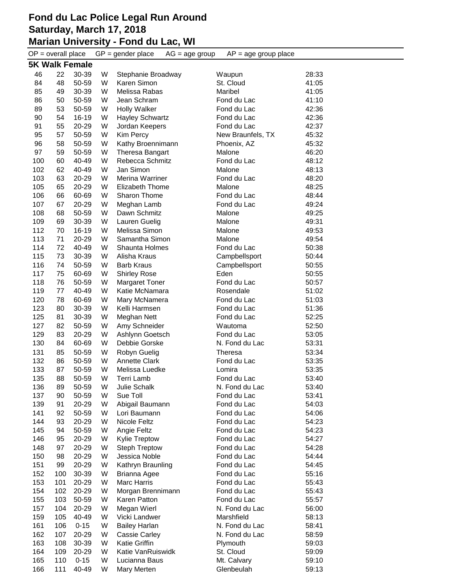| $OP = overall place$ |          |                       |        | $GP = gender place$<br>$AG = age$ group | $AP = age$ group place   |                |
|----------------------|----------|-----------------------|--------|-----------------------------------------|--------------------------|----------------|
|                      |          | <b>5K Walk Female</b> |        |                                         |                          |                |
| 46                   | 22       | 30-39                 | W      | Stephanie Broadway                      | Waupun                   | 28:33          |
| 84                   | 48       | 50-59                 | W      | Karen Simon                             | St. Cloud                | 41:05          |
| 85                   | 49       | 30-39                 | W      | Melissa Rabas                           | Maribel                  | 41:05          |
| 86                   | 50       | 50-59                 | W      | Jean Schram                             | Fond du Lac              | 41:10          |
| 89                   | 53       | 50-59                 | W      | <b>Holly Walker</b>                     | Fond du Lac              | 42:36          |
| 90                   | 54       | 16-19                 | W      | <b>Hayley Schwartz</b>                  | Fond du Lac              | 42:36          |
| 91                   | 55       | 20-29                 | W      | Jordan Keepers                          | Fond du Lac              | 42:37          |
| 95                   | 57       | 50-59                 | W      | Kim Percy                               | New Braunfels, TX        | 45:32          |
| 96                   | 58       | 50-59                 | W      | Kathy Broennimann                       | Phoenix, AZ              | 45:32          |
| 97                   | 59       | 50-59                 | W      | Theresa Bangart                         | Malone                   | 46:20          |
| 100                  | 60       | 40-49                 | W      | Rebecca Schmitz                         | Fond du Lac              | 48:12          |
| 102                  | 62       | 40-49                 | W      | Jan Simon                               | Malone                   | 48:13          |
| 103                  | 63       | 20-29                 | W      | Merina Warriner                         | Fond du Lac              | 48:20          |
| 105                  | 65       | 20-29                 | W      | Elizabeth Thome                         | Malone                   | 48:25          |
| 106                  | 66       | 60-69                 | W      | Sharon Thome                            | Fond du Lac              | 48:44          |
| 107                  | 67       | 20-29                 | W      | Meghan Lamb                             | Fond du Lac              | 49:24          |
| 108                  | 68       | 50-59                 | W      | Dawn Schmitz                            | Malone                   | 49:25          |
| 109                  | 69       | 30-39                 | W      | Lauren Guelig                           | Malone                   | 49:31          |
| 112                  | 70       | 16-19                 | W      | Melissa Simon                           | Malone                   | 49:53          |
| 113                  | 71       | 20-29                 | W      | Samantha Simon                          | Malone                   | 49:54          |
| 114                  | 72       | 40-49<br>30-39        | W      | Shaunta Holmes                          | Fond du Lac              | 50:38          |
| 115<br>116           | 73       | 50-59                 | W<br>W | Alisha Kraus                            | Campbellsport            | 50:44          |
|                      | 74       |                       |        | <b>Barb Kraus</b>                       | Campbellsport<br>Eden    | 50:55          |
| 117<br>118           | 75<br>76 | 60-69<br>50-59        | W      | <b>Shirley Rose</b>                     |                          | 50:55<br>50:57 |
| 119                  | 77       | 40-49                 | W<br>W | <b>Margaret Toner</b><br>Katie McNamara | Fond du Lac<br>Rosendale | 51:02          |
| 120                  | 78       | 60-69                 | W      | Mary McNamera                           | Fond du Lac              | 51:03          |
| 123                  | 80       | 30-39                 | W      | Kelli Harmsen                           | Fond du Lac              | 51:36          |
| 125                  | 81       | 30-39                 | W      | Meghan Nett                             | Fond du Lac              | 52:25          |
| 127                  | 82       | 50-59                 | W      | Amy Schneider                           | Wautoma                  | 52:50          |
| 129                  | 83       | 20-29                 | W      | Ashlynn Goetsch                         | Fond du Lac              | 53:05          |
| 130                  | 84       | 60-69                 | W      | Debbie Gorske                           | N. Fond du Lac           | 53:31          |
| 131                  | 85       | 50-59                 | W      | Robyn Guelig                            | <b>Theresa</b>           | 53:34          |
| 132                  | 86       | 50-59                 | W      | <b>Annette Clark</b>                    | Fond du Lac              | 53:35          |
| 133                  | 87       | 50-59                 | W      | Melissa Luedke                          | Lomira                   | 53:35          |
| 135                  | 88       | 50-59                 | W      | Terri Lamb                              | Fond du Lac              | 53:40          |
| 136                  | 89       | 50-59                 | W      | <b>Julie Schalk</b>                     | N. Fond du Lac           | 53:40          |
| 137                  | 90       | 50-59                 | W      | Sue Toll                                | Fond du Lac              | 53:41          |
| 139                  | 91       | 20-29                 | W      | Abigail Baumann                         | Fond du Lac              | 54:03          |
| 141                  | 92       | 50-59                 | W      | Lori Baumann                            | Fond du Lac              | 54:06          |
| 144                  | 93       | 20-29                 | W      | Nicole Feltz                            | Fond du Lac              | 54:23          |
| 145                  | 94       | 50-59                 | W      | Angie Feltz                             | Fond du Lac              | 54:23          |
| 146                  | 95       | 20-29                 | W      | Kylie Treptow                           | Fond du Lac              | 54:27          |
| 148                  | 97       | 20-29                 | W      | <b>Steph Treptow</b>                    | Fond du Lac              | 54:28          |
| 150                  | 98       | 20-29                 | W      | Jessica Noble                           | Fond du Lac              | 54:44          |
| 151                  | 99       | 20-29                 | W      | Kathryn Braunling                       | Fond du Lac              | 54:45          |
| 152                  | 100      | 30-39                 | W      | Brianna Agee                            | Fond du Lac              | 55:16          |
| 153                  | 101      | 20-29                 | W      | <b>Marc Harris</b>                      | Fond du Lac              | 55:43          |
| 154                  | 102      | 20-29                 | W      | Morgan Brennimann                       | Fond du Lac              | 55:43          |
| 155                  | 103      | 50-59                 | W      | Karen Patton                            | Fond du Lac              | 55:57          |
| 157                  | 104      | 20-29                 | W      | Megan Wierl                             | N. Fond du Lac           | 56:00          |
| 159                  | 105      | 40-49                 | W      | Vicki Landwer                           | Marshfield               | 58:13          |
| 161                  | 106      | $0 - 15$              | W      | <b>Bailey Harlan</b>                    | N. Fond du Lac           | 58:41          |
| 162                  | 107      | 20-29                 | W      | <b>Cassie Carley</b>                    | N. Fond du Lac           | 58:59          |
| 163                  | 108      | 30-39                 | W      | Katie Griffin                           | Plymouth                 | 59:03          |
| 164                  | 109      | 20-29                 | W      | Katie VanRuiswidk                       | St. Cloud                | 59:09          |
| 165                  | 110      | $0 - 15$              | W      | Lucianna Baus                           | Mt. Calvary              | 59:10          |
| 166                  | 111      | 40-49                 | W      | Mary Merten                             | Glenbeulah               | 59:13          |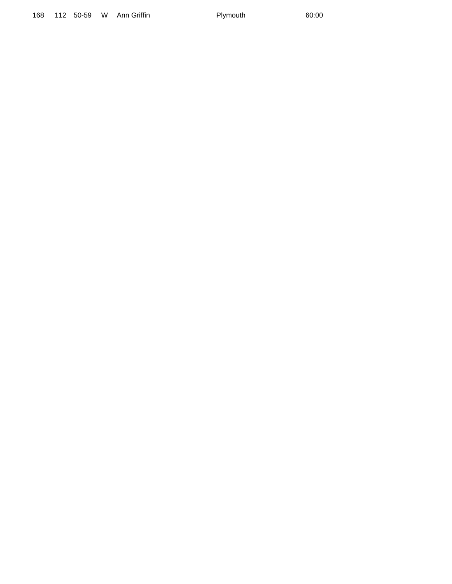168 112 50-59 W Ann Griffin **Plymouth** Plymouth 60:00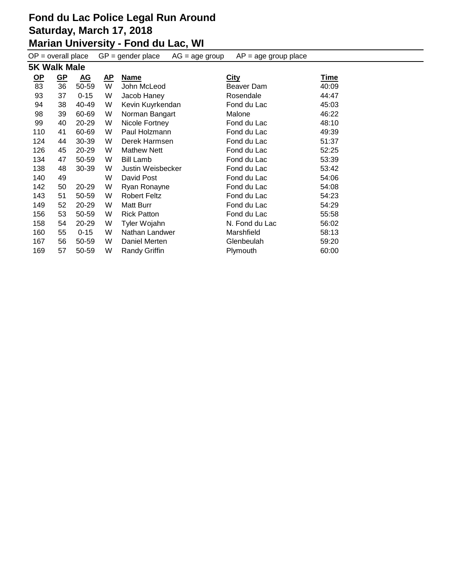| $OP = overall place$ |           |           | $GP = gender place$ | $AG = age$ group<br>$AP = age$ group place |                |       |
|----------------------|-----------|-----------|---------------------|--------------------------------------------|----------------|-------|
| <b>5K Walk Male</b>  |           |           |                     |                                            |                |       |
| <u>OP</u>            | <u>GP</u> | <u>AG</u> | <u>AP</u>           | <b>Name</b>                                | <b>City</b>    | Time  |
| 83                   | 36        | 50-59     | W                   | John McLeod                                | Beaver Dam     | 40:09 |
| 93                   | 37        | $0 - 15$  | W                   | Jacob Haney                                | Rosendale      | 44:47 |
| 94                   | 38        | 40-49     | W                   | Kevin Kuyrkendan                           | Fond du Lac    | 45:03 |
| 98                   | 39        | 60-69     | W                   | Norman Bangart                             | Malone         | 46:22 |
| 99                   | 40        | 20-29     | W                   | Nicole Fortney                             | Fond du Lac    | 48:10 |
| 110                  | 41        | 60-69     | W                   | Paul Holzmann                              | Fond du Lac    | 49:39 |
| 124                  | 44        | 30-39     | W                   | Derek Harmsen                              | Fond du Lac    | 51:37 |
| 126                  | 45        | 20-29     | W                   | <b>Mathew Nett</b>                         | Fond du Lac    | 52:25 |
| 134                  | 47        | 50-59     | W                   | <b>Bill Lamb</b>                           | Fond du Lac    | 53:39 |
| 138                  | 48        | 30-39     | W                   | Justin Weisbecker                          | Fond du Lac    | 53:42 |
| 140                  | 49        |           | W                   | David Post                                 | Fond du Lac    | 54:06 |
| 142                  | 50        | 20-29     | W                   | Ryan Ronayne                               | Fond du Lac    | 54:08 |
| 143                  | 51        | 50-59     | W                   | <b>Robert Feltz</b>                        | Fond du Lac    | 54:23 |
| 149                  | 52        | 20-29     | W                   | Matt Burr                                  | Fond du Lac    | 54:29 |
| 156                  | 53        | 50-59     | W                   | <b>Rick Patton</b>                         | Fond du Lac    | 55:58 |
| 158                  | 54        | 20-29     | W                   | Tyler Wojahn                               | N. Fond du Lac | 56:02 |
| 160                  | 55        | $0 - 15$  | W                   | Nathan Landwer                             | Marshfield     | 58:13 |
| 167                  | 56        | 50-59     | W                   | Daniel Merten                              | Glenbeulah     | 59:20 |
| 169                  | 57        | 50-59     | W                   | <b>Randy Griffin</b>                       | Plymouth       | 60:00 |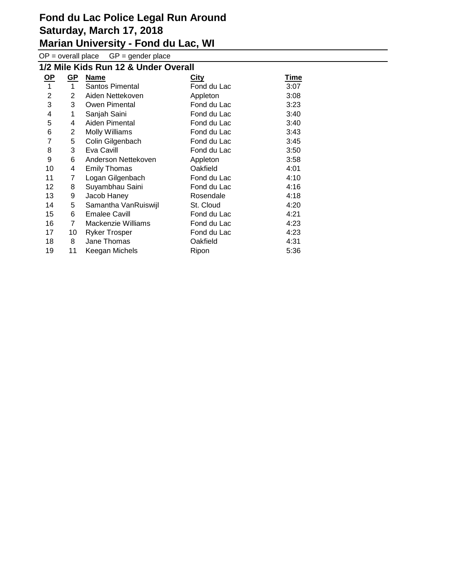$OP = overall place$   $GP = gender place$ 

**1/2 Mile Kids Run 12 & Under Overall**

|                | <u>IZ MIIG NIUS NUIL IZ O VIIUGI VVGIAII</u> |                       |             |             |  |  |  |  |
|----------------|----------------------------------------------|-----------------------|-------------|-------------|--|--|--|--|
| $\mathbf{Q}$   | $GP$                                         | Name                  | <u>City</u> | <b>Time</b> |  |  |  |  |
| $\overline{1}$ | $\mathbf{1}$                                 | Santos Pimental       | Fond du Lac | 3:07        |  |  |  |  |
| $\overline{2}$ | 2                                            | Aiden Nettekoven      | Appleton    | 3:08        |  |  |  |  |
| 3              | 3                                            | Owen Pimental         | Fond du Lac | 3:23        |  |  |  |  |
| 4              | 1                                            | Sanjah Saini          | Fond du Lac | 3:40        |  |  |  |  |
| 5              | 4                                            | Aiden Pimental        | Fond du Lac | 3:40        |  |  |  |  |
| 6              | $\overline{2}$                               | <b>Molly Williams</b> | Fond du Lac | 3:43        |  |  |  |  |
| 7              | 5                                            | Colin Gilgenbach      | Fond du Lac | 3:45        |  |  |  |  |
| 8              | 3                                            | Eva Cavill            | Fond du Lac | 3:50        |  |  |  |  |
| 9              | 6                                            | Anderson Nettekoven   | Appleton    | 3:58        |  |  |  |  |
| 10             | 4                                            | <b>Emily Thomas</b>   | Oakfield    | 4:01        |  |  |  |  |
| 11             | 7                                            | Logan Gilgenbach      | Fond du Lac | 4:10        |  |  |  |  |
| 12             | 8                                            | Suyambhau Saini       | Fond du Lac | 4:16        |  |  |  |  |
| 13             | 9                                            | Jacob Haney           | Rosendale   | 4:18        |  |  |  |  |
| 14             | 5                                            | Samantha VanRuiswijl  | St. Cloud   | 4:20        |  |  |  |  |
| 15             | 6                                            | <b>Emalee Cavill</b>  | Fond du Lac | 4:21        |  |  |  |  |
| 16             | 7                                            | Mackenzie Williams    | Fond du Lac | 4:23        |  |  |  |  |
| 17             | 10                                           | <b>Ryker Trosper</b>  | Fond du Lac | 4:23        |  |  |  |  |
| 18             | 8                                            | Jane Thomas           | Oakfield    | 4:31        |  |  |  |  |
| 19             | 11                                           | Keegan Michels        | Ripon       | 5:36        |  |  |  |  |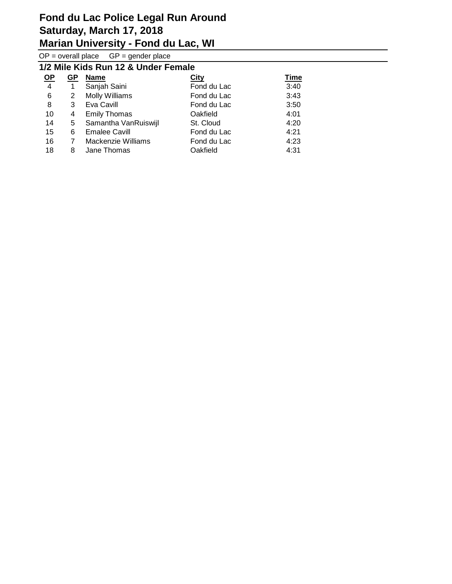$OP = overall place$   $GP = gender place$ 

**1/2 Mile Kids Run 12 & Under Female**

|           | <u>IZ MIIC NIUS NUILLZ &amp; UHUCL FEIHAIC</u> |                           |             |             |  |  |  |  |
|-----------|------------------------------------------------|---------------------------|-------------|-------------|--|--|--|--|
| <u>OP</u> | <u>GP</u>                                      | <b>Name</b>               | City        | <u>Time</u> |  |  |  |  |
| 4         | 1                                              | Sanjah Saini              | Fond du Lac | 3:40        |  |  |  |  |
| 6         | 2                                              | <b>Molly Williams</b>     | Fond du Lac | 3:43        |  |  |  |  |
| 8         | 3                                              | Eva Cavill                | Fond du Lac | 3:50        |  |  |  |  |
| 10        | 4                                              | <b>Emily Thomas</b>       | Oakfield    | 4:01        |  |  |  |  |
| 14        | 5                                              | Samantha VanRuiswijl      | St. Cloud   | 4:20        |  |  |  |  |
| 15        | 6                                              | <b>Emalee Cavill</b>      | Fond du Lac | 4:21        |  |  |  |  |
| 16        | 7                                              | <b>Mackenzie Williams</b> | Fond du Lac | 4:23        |  |  |  |  |
| 18        | 8                                              | Jane Thomas               | Oakfield    | 4:31        |  |  |  |  |
|           |                                                |                           |             |             |  |  |  |  |